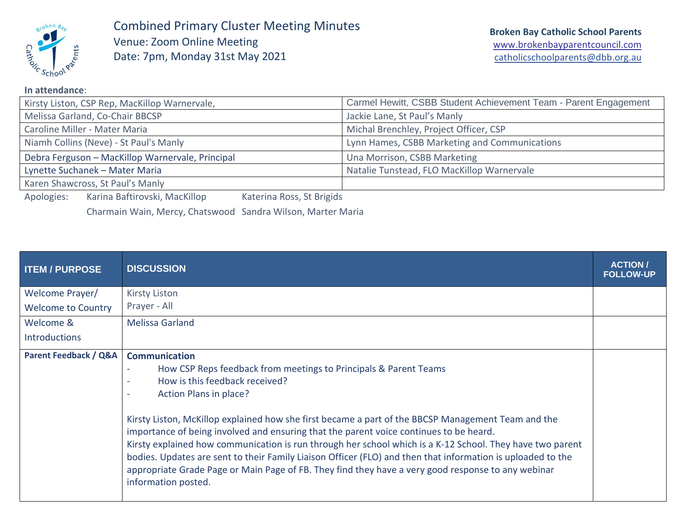

Combined Primary Cluster Meeting Minutes Venue: Zoom Online Meeting Date: 7pm, Monday 31st May 2021

| Kirsty Liston, CSP Rep, MacKillop Warnervale,                            | Carmel Hewitt, CSBB Student Achievement Team - Parent Engagement |  |
|--------------------------------------------------------------------------|------------------------------------------------------------------|--|
| Melissa Garland, Co-Chair BBCSP                                          | Jackie Lane, St Paul's Manly                                     |  |
| Caroline Miller - Mater Maria                                            | Michal Brenchley, Project Officer, CSP                           |  |
| Niamh Collins (Neve) - St Paul's Manly                                   | Lynn Hames, CSBB Marketing and Communications                    |  |
| Debra Ferguson - MacKillop Warnervale, Principal                         | Una Morrison, CSBB Marketing                                     |  |
| Lynette Suchanek - Mater Maria                                           | Natalie Tunstead, FLO MacKillop Warnervale                       |  |
| Karen Shawcross, St Paul's Manly                                         |                                                                  |  |
| Karina Baftirovski, MacKillop<br>Apologies:<br>Katerina Ross, St Brigids |                                                                  |  |

Charmain Wain, Mercy, Chatswood Sandra Wilson, Marter Maria

| <b>ITEM / PURPOSE</b>     | <b>DISCUSSION</b>                                                                                                                                                                                                                                                                                                                                                                                                                                                                                                                                                                                                                                                                                                       | <b>ACTION/</b><br><b>FOLLOW-UP</b> |
|---------------------------|-------------------------------------------------------------------------------------------------------------------------------------------------------------------------------------------------------------------------------------------------------------------------------------------------------------------------------------------------------------------------------------------------------------------------------------------------------------------------------------------------------------------------------------------------------------------------------------------------------------------------------------------------------------------------------------------------------------------------|------------------------------------|
| Welcome Prayer/           | <b>Kirsty Liston</b>                                                                                                                                                                                                                                                                                                                                                                                                                                                                                                                                                                                                                                                                                                    |                                    |
| <b>Welcome to Country</b> | Prayer - All                                                                                                                                                                                                                                                                                                                                                                                                                                                                                                                                                                                                                                                                                                            |                                    |
| Welcome &                 | <b>Melissa Garland</b>                                                                                                                                                                                                                                                                                                                                                                                                                                                                                                                                                                                                                                                                                                  |                                    |
| <b>Introductions</b>      |                                                                                                                                                                                                                                                                                                                                                                                                                                                                                                                                                                                                                                                                                                                         |                                    |
| Parent Feedback / Q&A     | <b>Communication</b><br>How CSP Reps feedback from meetings to Principals & Parent Teams<br>How is this feedback received?<br>Action Plans in place?<br>$\sim$<br>Kirsty Liston, McKillop explained how she first became a part of the BBCSP Management Team and the<br>importance of being involved and ensuring that the parent voice continues to be heard.<br>Kirsty explained how communication is run through her school which is a K-12 School. They have two parent<br>bodies. Updates are sent to their Family Liaison Officer (FLO) and then that information is uploaded to the<br>appropriate Grade Page or Main Page of FB. They find they have a very good response to any webinar<br>information posted. |                                    |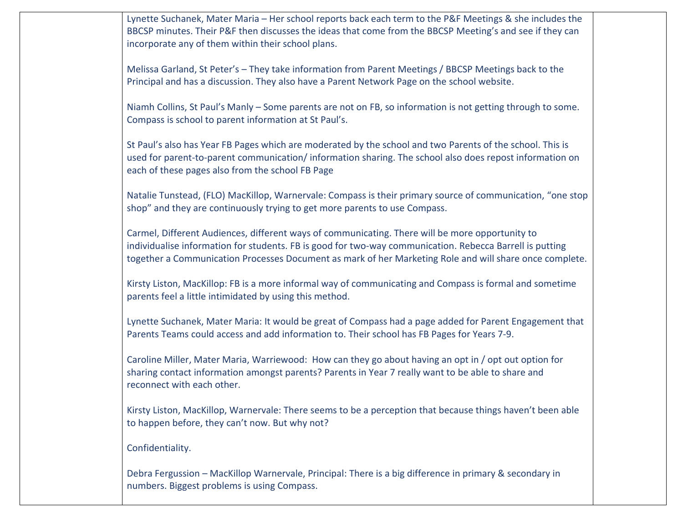Lynette Suchanek, Mater Maria – Her school reports back each term to the P&F Meetings & she includes the BBCSP minutes. Their P&F then discusses the ideas that come from the BBCSP Meeting's and see if they can incorporate any of them within their school plans.

Melissa Garland, St Peter's – They take information from Parent Meetings / BBCSP Meetings back to the Principal and has a discussion. They also have a Parent Network Page on the school website.

Niamh Collins, St Paul's Manly – Some parents are not on FB, so information is not getting through to some. Compass is school to parent information at St Paul's.

St Paul's also has Year FB Pages which are moderated by the school and two Parents of the school. This is used for parent-to-parent communication/ information sharing. The school also does repost information on each of these pages also from the school FB Page

Natalie Tunstead, (FLO) MacKillop, Warnervale: Compass is their primary source of communication, "one stop shop" and they are continuously trying to get more parents to use Compass.

Carmel, Different Audiences, different ways of communicating. There will be more opportunity to individualise information for students. FB is good for two-way communication. Rebecca Barrell is putting together a Communication Processes Document as mark of her Marketing Role and will share once complete.

Kirsty Liston, MacKillop: FB is a more informal way of communicating and Compass is formal and sometime parents feel a little intimidated by using this method.

Lynette Suchanek, Mater Maria: It would be great of Compass had a page added for Parent Engagement that Parents Teams could access and add information to. Their school has FB Pages for Years 7-9.

Caroline Miller, Mater Maria, Warriewood: How can they go about having an opt in / opt out option for sharing contact information amongst parents? Parents in Year 7 really want to be able to share and reconnect with each other.

Kirsty Liston, MacKillop, Warnervale: There seems to be a perception that because things haven't been able to happen before, they can't now. But why not?

Confidentiality.

Debra Fergussion – MacKillop Warnervale, Principal: There is a big difference in primary & secondary in numbers. Biggest problems is using Compass.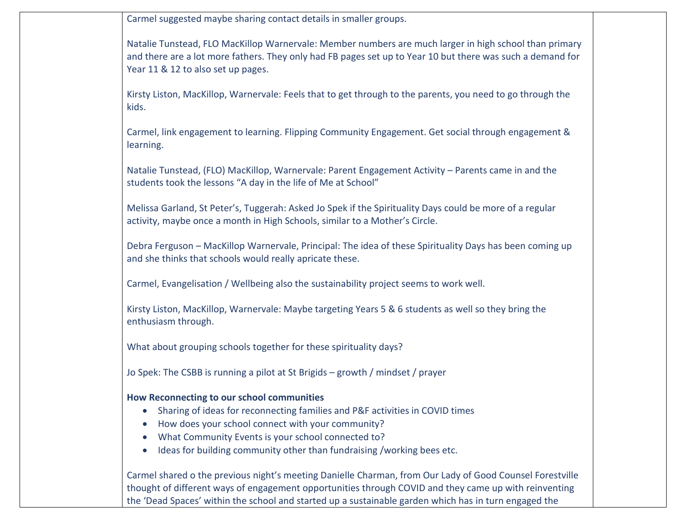Carmel suggested maybe sharing contact details in smaller groups.

Natalie Tunstead, FLO MacKillop Warnervale: Member numbers are much larger in high school than primary and there are a lot more fathers. They only had FB pages set up to Year 10 but there was such a demand for Year 11 & 12 to also set up pages.

Kirsty Liston, MacKillop, Warnervale: Feels that to get through to the parents, you need to go through the kids.

Carmel, link engagement to learning. Flipping Community Engagement. Get social through engagement & learning.

Natalie Tunstead, (FLO) MacKillop, Warnervale: Parent Engagement Activity – Parents came in and the students took the lessons "A day in the life of Me at School"

Melissa Garland, St Peter's, Tuggerah: Asked Jo Spek if the Spirituality Days could be more of a regular activity, maybe once a month in High Schools, similar to a Mother's Circle.

Debra Ferguson – MacKillop Warnervale, Principal: The idea of these Spirituality Days has been coming up and she thinks that schools would really apricate these.

Carmel, Evangelisation / Wellbeing also the sustainability project seems to work well.

Kirsty Liston, MacKillop, Warnervale: Maybe targeting Years 5 & 6 students as well so they bring the enthusiasm through.

What about grouping schools together for these spirituality days?

Jo Spek: The CSBB is running a pilot at St Brigids – growth / mindset / prayer

## **How Reconnecting to our school communities**

- Sharing of ideas for reconnecting families and P&F activities in COVID times
- How does your school connect with your community?
- What Community Events is your school connected to?
- Ideas for building community other than fundraising /working bees etc.

Carmel shared o the previous night's meeting Danielle Charman, from Our Lady of Good Counsel Forestville thought of different ways of engagement opportunities through COVID and they came up with reinventing the 'Dead Spaces' within the school and started up a sustainable garden which has in turn engaged the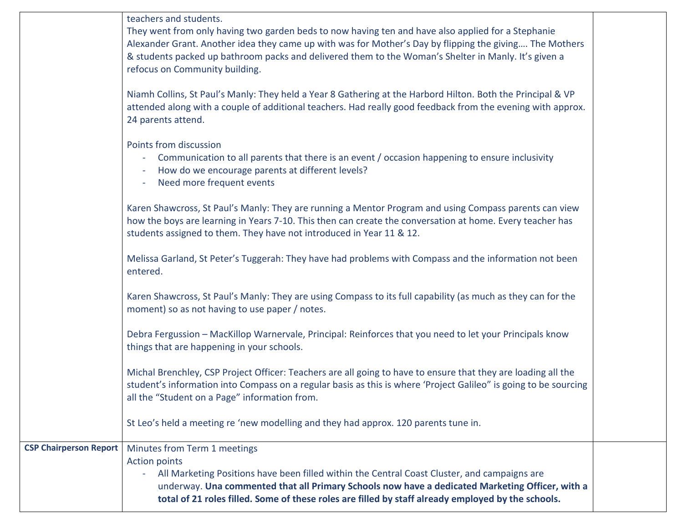|                               | teachers and students.<br>They went from only having two garden beds to now having ten and have also applied for a Stephanie<br>Alexander Grant. Another idea they came up with was for Mother's Day by flipping the giving The Mothers<br>& students packed up bathroom packs and delivered them to the Woman's Shelter in Manly. It's given a<br>refocus on Community building.<br>Niamh Collins, St Paul's Manly: They held a Year 8 Gathering at the Harbord Hilton. Both the Principal & VP<br>attended along with a couple of additional teachers. Had really good feedback from the evening with approx.<br>24 parents attend.<br>Points from discussion<br>Communication to all parents that there is an event / occasion happening to ensure inclusivity<br>۰<br>How do we encourage parents at different levels?<br>Need more frequent events<br>Karen Shawcross, St Paul's Manly: They are running a Mentor Program and using Compass parents can view<br>how the boys are learning in Years 7-10. This then can create the conversation at home. Every teacher has<br>students assigned to them. They have not introduced in Year 11 & 12.<br>Melissa Garland, St Peter's Tuggerah: They have had problems with Compass and the information not been<br>entered.<br>Karen Shawcross, St Paul's Manly: They are using Compass to its full capability (as much as they can for the<br>moment) so as not having to use paper / notes.<br>Debra Fergussion - MacKillop Warnervale, Principal: Reinforces that you need to let your Principals know<br>things that are happening in your schools.<br>Michal Brenchley, CSP Project Officer: Teachers are all going to have to ensure that they are loading all the<br>student's information into Compass on a regular basis as this is where 'Project Galileo" is going to be sourcing<br>all the "Student on a Page" information from. |  |
|-------------------------------|------------------------------------------------------------------------------------------------------------------------------------------------------------------------------------------------------------------------------------------------------------------------------------------------------------------------------------------------------------------------------------------------------------------------------------------------------------------------------------------------------------------------------------------------------------------------------------------------------------------------------------------------------------------------------------------------------------------------------------------------------------------------------------------------------------------------------------------------------------------------------------------------------------------------------------------------------------------------------------------------------------------------------------------------------------------------------------------------------------------------------------------------------------------------------------------------------------------------------------------------------------------------------------------------------------------------------------------------------------------------------------------------------------------------------------------------------------------------------------------------------------------------------------------------------------------------------------------------------------------------------------------------------------------------------------------------------------------------------------------------------------------------------------------------------------------------------------------------------------------------------------------------|--|
|                               | St Leo's held a meeting re 'new modelling and they had approx. 120 parents tune in.                                                                                                                                                                                                                                                                                                                                                                                                                                                                                                                                                                                                                                                                                                                                                                                                                                                                                                                                                                                                                                                                                                                                                                                                                                                                                                                                                                                                                                                                                                                                                                                                                                                                                                                                                                                                            |  |
| <b>CSP Chairperson Report</b> | Minutes from Term 1 meetings<br><b>Action points</b><br>All Marketing Positions have been filled within the Central Coast Cluster, and campaigns are<br>$\blacksquare$<br>underway. Una commented that all Primary Schools now have a dedicated Marketing Officer, with a<br>total of 21 roles filled. Some of these roles are filled by staff already employed by the schools.                                                                                                                                                                                                                                                                                                                                                                                                                                                                                                                                                                                                                                                                                                                                                                                                                                                                                                                                                                                                                                                                                                                                                                                                                                                                                                                                                                                                                                                                                                                |  |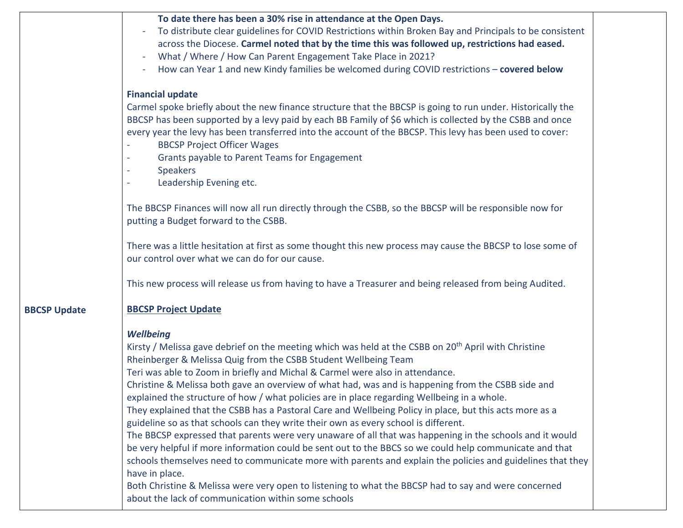|                     | To date there has been a 30% rise in attendance at the Open Days.<br>To distribute clear guidelines for COVID Restrictions within Broken Bay and Principals to be consistent<br>across the Diocese. Carmel noted that by the time this was followed up, restrictions had eased.<br>What / Where / How Can Parent Engagement Take Place in 2021?<br>$\overline{\phantom{a}}$<br>How can Year 1 and new Kindy families be welcomed during COVID restrictions - covered below                                                                                                                                                                                                                                                                                                                                                                                                                                                                                                                                                                                                                                                                                                                                            |  |
|---------------------|-----------------------------------------------------------------------------------------------------------------------------------------------------------------------------------------------------------------------------------------------------------------------------------------------------------------------------------------------------------------------------------------------------------------------------------------------------------------------------------------------------------------------------------------------------------------------------------------------------------------------------------------------------------------------------------------------------------------------------------------------------------------------------------------------------------------------------------------------------------------------------------------------------------------------------------------------------------------------------------------------------------------------------------------------------------------------------------------------------------------------------------------------------------------------------------------------------------------------|--|
|                     | <b>Financial update</b><br>Carmel spoke briefly about the new finance structure that the BBCSP is going to run under. Historically the<br>BBCSP has been supported by a levy paid by each BB Family of \$6 which is collected by the CSBB and once<br>every year the levy has been transferred into the account of the BBCSP. This levy has been used to cover:<br><b>BBCSP Project Officer Wages</b><br>Grants payable to Parent Teams for Engagement<br><b>Speakers</b><br>Leadership Evening etc.                                                                                                                                                                                                                                                                                                                                                                                                                                                                                                                                                                                                                                                                                                                  |  |
|                     | The BBCSP Finances will now all run directly through the CSBB, so the BBCSP will be responsible now for<br>putting a Budget forward to the CSBB.                                                                                                                                                                                                                                                                                                                                                                                                                                                                                                                                                                                                                                                                                                                                                                                                                                                                                                                                                                                                                                                                      |  |
|                     | There was a little hesitation at first as some thought this new process may cause the BBCSP to lose some of<br>our control over what we can do for our cause.                                                                                                                                                                                                                                                                                                                                                                                                                                                                                                                                                                                                                                                                                                                                                                                                                                                                                                                                                                                                                                                         |  |
|                     | This new process will release us from having to have a Treasurer and being released from being Audited.                                                                                                                                                                                                                                                                                                                                                                                                                                                                                                                                                                                                                                                                                                                                                                                                                                                                                                                                                                                                                                                                                                               |  |
| <b>BBCSP Update</b> | <b>BBCSP Project Update</b>                                                                                                                                                                                                                                                                                                                                                                                                                                                                                                                                                                                                                                                                                                                                                                                                                                                                                                                                                                                                                                                                                                                                                                                           |  |
|                     | <b>Wellbeing</b><br>Kirsty / Melissa gave debrief on the meeting which was held at the CSBB on 20 <sup>th</sup> April with Christine<br>Rheinberger & Melissa Quig from the CSBB Student Wellbeing Team<br>Teri was able to Zoom in briefly and Michal & Carmel were also in attendance.<br>Christine & Melissa both gave an overview of what had, was and is happening from the CSBB side and<br>explained the structure of how / what policies are in place regarding Wellbeing in a whole.<br>They explained that the CSBB has a Pastoral Care and Wellbeing Policy in place, but this acts more as a<br>guideline so as that schools can they write their own as every school is different.<br>The BBCSP expressed that parents were very unaware of all that was happening in the schools and it would<br>be very helpful if more information could be sent out to the BBCS so we could help communicate and that<br>schools themselves need to communicate more with parents and explain the policies and guidelines that they<br>have in place.<br>Both Christine & Melissa were very open to listening to what the BBCSP had to say and were concerned<br>about the lack of communication within some schools |  |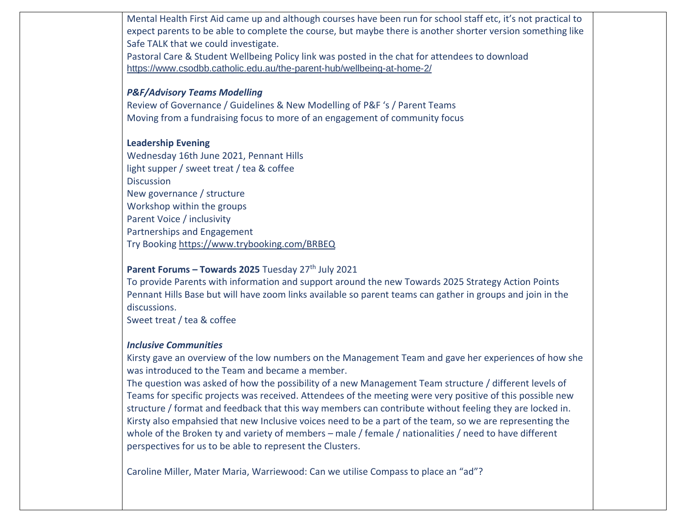Mental Health First Aid came up and although courses have been run for school staff etc, it's not practical to expect parents to be able to complete the course, but maybe there is another shorter version something like Safe TALK that we could investigate.

Pastoral Care & Student Wellbeing Policy link was posted in the chat for attendees to download <https://www.csodbb.catholic.edu.au/the-parent-hub/wellbeing-at-home-2/>

# *P&F/Advisory Teams Modelling*

Review of Governance / Guidelines & New Modelling of P&F 's / Parent Teams Moving from a fundraising focus to more of an engagement of community focus

## **Leadership Evening**

Wednesday 16th June 2021, Pennant Hills light supper / sweet treat / tea & coffee **Discussion** New governance / structure Workshop within the groups Parent Voice / inclusivity Partnerships and Engagement Try Booking<https://www.trybooking.com/BRBEQ>

# **Parent Forums – Towards 2025** Tuesday 27th July 2021

To provide Parents with information and support around the new Towards 2025 Strategy Action Points Pennant Hills Base but will have zoom links available so parent teams can gather in groups and join in the discussions.

Sweet treat / tea & coffee

### *Inclusive Communities*

Kirsty gave an overview of the low numbers on the Management Team and gave her experiences of how she was introduced to the Team and became a member.

The question was asked of how the possibility of a new Management Team structure / different levels of Teams for specific projects was received. Attendees of the meeting were very positive of this possible new structure / format and feedback that this way members can contribute without feeling they are locked in. Kirsty also empahsied that new Inclusive voices need to be a part of the team, so we are representing the whole of the Broken ty and variety of members – male / female / nationalities / need to have different perspectives for us to be able to represent the Clusters.

Caroline Miller, Mater Maria, Warriewood: Can we utilise Compass to place an "ad"?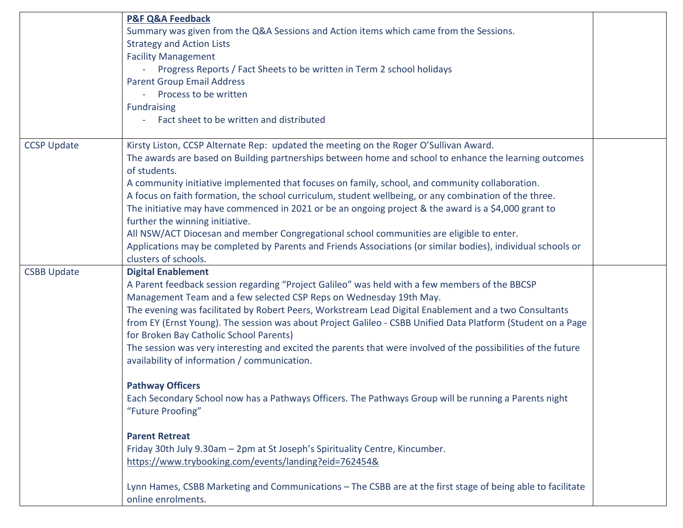| Summary was given from the Q&A Sessions and Action items which came from the Sessions.<br><b>Strategy and Action Lists</b><br><b>Facility Management</b><br>Progress Reports / Fact Sheets to be written in Term 2 school holidays<br>$\sim$<br><b>Parent Group Email Address</b><br>Process to be written<br><b>Fundraising</b><br>Fact sheet to be written and distributed                                                                                                                                                                                                                                                                                                                                                                                                                                                                                                                                                                                                                                                                                                      |                    |
|-----------------------------------------------------------------------------------------------------------------------------------------------------------------------------------------------------------------------------------------------------------------------------------------------------------------------------------------------------------------------------------------------------------------------------------------------------------------------------------------------------------------------------------------------------------------------------------------------------------------------------------------------------------------------------------------------------------------------------------------------------------------------------------------------------------------------------------------------------------------------------------------------------------------------------------------------------------------------------------------------------------------------------------------------------------------------------------|--------------------|
| Kirsty Liston, CCSP Alternate Rep: updated the meeting on the Roger O'Sullivan Award.<br>The awards are based on Building partnerships between home and school to enhance the learning outcomes<br>of students.<br>A community initiative implemented that focuses on family, school, and community collaboration.<br>A focus on faith formation, the school curriculum, student wellbeing, or any combination of the three.<br>The initiative may have commenced in 2021 or be an ongoing project & the award is a \$4,000 grant to<br>further the winning initiative.<br>All NSW/ACT Diocesan and member Congregational school communities are eligible to enter.<br>Applications may be completed by Parents and Friends Associations (or similar bodies), individual schools or<br>clusters of schools.                                                                                                                                                                                                                                                                       |                    |
| <b>Digital Enablement</b><br>A Parent feedback session regarding "Project Galileo" was held with a few members of the BBCSP<br>Management Team and a few selected CSP Reps on Wednesday 19th May.<br>The evening was facilitated by Robert Peers, Workstream Lead Digital Enablement and a two Consultants<br>from EY (Ernst Young). The session was about Project Galileo - CSBB Unified Data Platform (Student on a Page<br>for Broken Bay Catholic School Parents)<br>The session was very interesting and excited the parents that were involved of the possibilities of the future<br>availability of information / communication.<br><b>Pathway Officers</b><br>Each Secondary School now has a Pathways Officers. The Pathways Group will be running a Parents night<br>"Future Proofing"<br><b>Parent Retreat</b><br>Friday 30th July 9.30am - 2pm at St Joseph's Spirituality Centre, Kincumber.<br>https://www.trybooking.com/events/landing?eid=762454&<br>Lynn Hames, CSBB Marketing and Communications - The CSBB are at the first stage of being able to facilitate |                    |
|                                                                                                                                                                                                                                                                                                                                                                                                                                                                                                                                                                                                                                                                                                                                                                                                                                                                                                                                                                                                                                                                                   | online enrolments. |